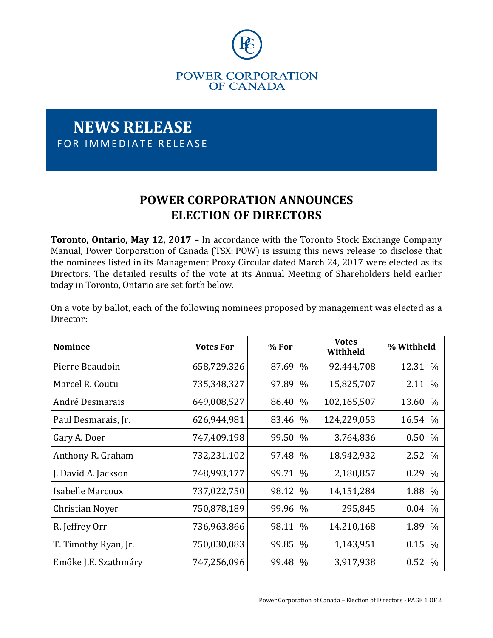

## **NEWS RELEASE** FOR IMMEDIATE RELEASE

## **POWER CORPORATION ANNOUNCES ELECTION OF DIRECTORS**

**Toronto, Ontario, May 12, 2017 –** In accordance with the Toronto Stock Exchange Company Manual, Power Corporation of Canada (TSX: POW) is issuing this news release to disclose that the nominees listed in its Management Proxy Circular dated March 24, 2017 were elected as its Directors. The detailed results of the vote at its Annual Meeting of Shareholders held earlier today in Toronto, Ontario are set forth below.

On a vote by ballot, each of the following nominees proposed by management was elected as a Director:

| <b>Nominee</b>       | <b>Votes For</b> | % For                  | <b>Votes</b><br>Withheld | % Withheld            |
|----------------------|------------------|------------------------|--------------------------|-----------------------|
| Pierre Beaudoin      | 658,729,326      | 87.69<br>$\frac{0}{0}$ | 92,444,708               | 12.31 %               |
| Marcel R. Coutu      | 735,348,327      | 97.89<br>$\%$          | 15,825,707               | 2.11 %                |
| André Desmarais      | 649,008,527      | 86.40<br>$\%$          | 102,165,507              | 13.60<br>$\%$         |
| Paul Desmarais, Jr.  | 626,944,981      | $\%$<br>83.46          | 124,229,053              | 16.54 %               |
| Gary A. Doer         | 747,409,198      | 99.50<br>$\frac{0}{0}$ | 3,764,836                | 0.50%                 |
| Anthony R. Graham    | 732,231,102      | 97.48<br>$\%$          | 18,942,932               | 2.52 %                |
| J. David A. Jackson  | 748,993,177      | 99.71<br>$\frac{0}{0}$ | 2,180,857                | 0.29 %                |
| Isabelle Marcoux     | 737,022,750      | 98.12 %                | 14,151,284               | 1.88 %                |
| Christian Noyer      | 750,878,189      | 99.96<br>$\%$          | 295,845                  | $0.04\%$              |
| R. Jeffrey Orr       | 736,963,866      | 98.11<br>$\%$          | 14,210,168               | 1.89 %                |
| T. Timothy Ryan, Jr. | 750,030,083      | 99.85<br>$\frac{0}{0}$ | 1,143,951                | 0.15 %                |
| Emőke J.E. Szathmáry | 747,256,096      | 99.48<br>$\frac{0}{0}$ | 3,917,938                | 0.52<br>$\frac{0}{0}$ |